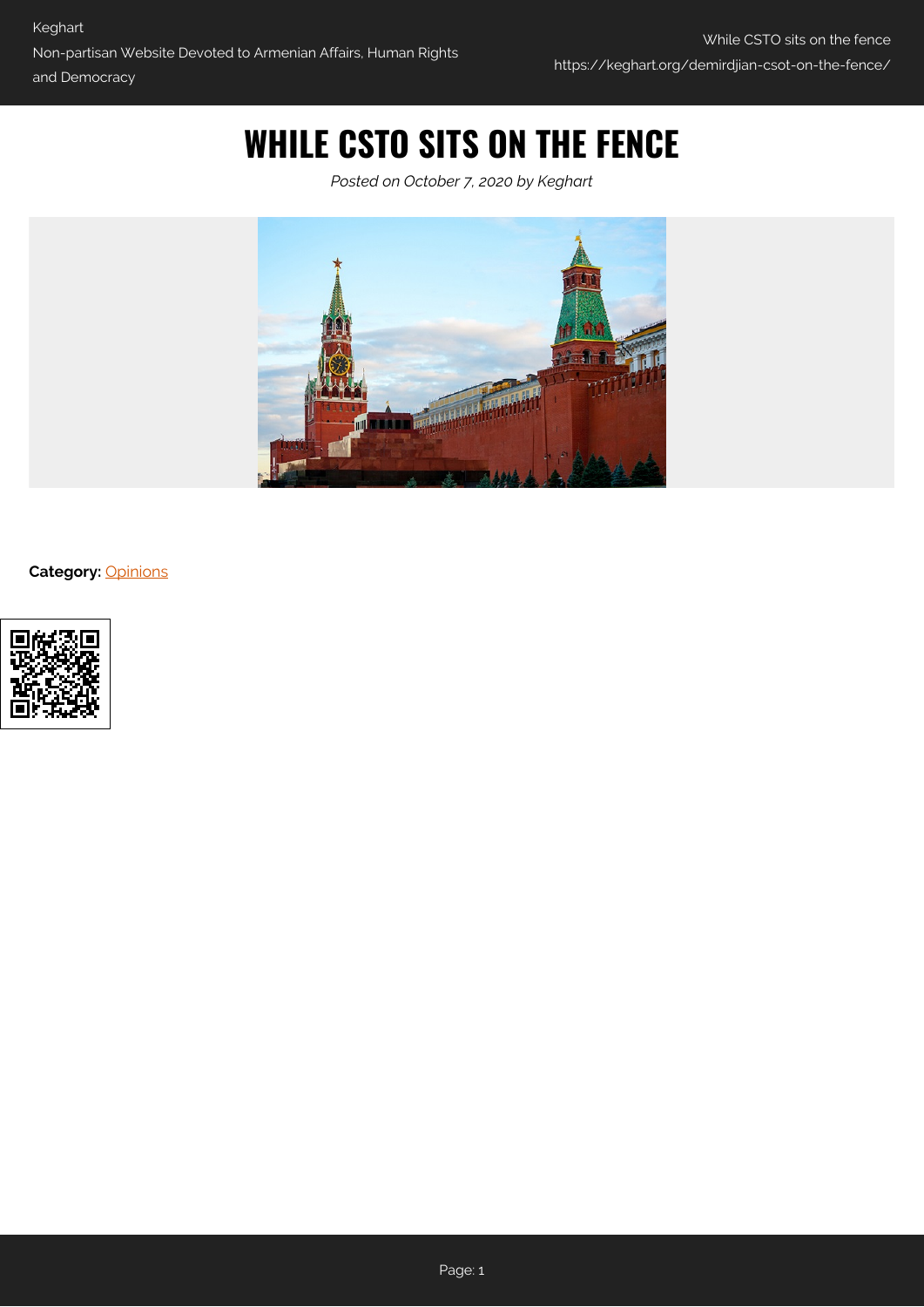## **WHILE CSTO SITS ON THE FENCE**

*Posted on October 7, 2020 by Keghart*



**Category:** [Opinions](https://keghart.org/category/opinions/)

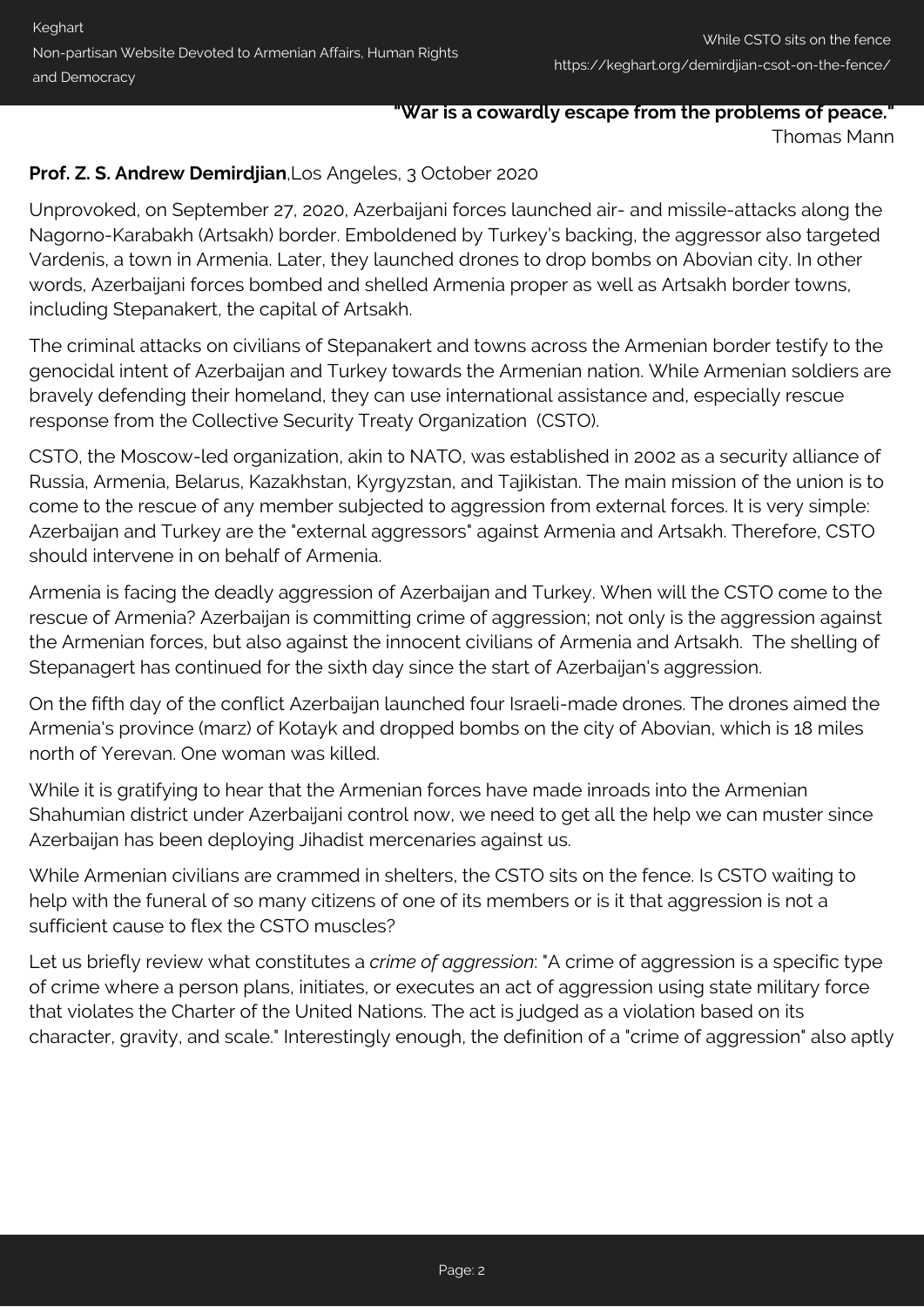## **"War is a cowardly escape from the problems of peace."** Thomas Mann

## **Prof. Z. S. Andrew Demirdjian**,Los Angeles, 3 October 2020

Unprovoked, on September 27, 2020, Azerbaijani forces launched air- and missile-attacks along the Nagorno-Karabakh (Artsakh) border. Emboldened by Turkey's backing, the aggressor also targeted Vardenis, a town in Armenia. Later, they launched drones to drop bombs on Abovian city. In other words, Azerbaijani forces bombed and shelled Armenia proper as well as Artsakh border towns, including Stepanakert, the capital of Artsakh.

The criminal attacks on civilians of Stepanakert and towns across the Armenian border testify to the genocidal intent of Azerbaijan and Turkey towards the Armenian nation. While Armenian soldiers are bravely defending their homeland, they can use international assistance and, especially rescue response from the Collective Security Treaty Organization (CSTO).

CSTO, the Moscow-led organization, akin to NATO, was established in 2002 as a security alliance of Russia, Armenia, Belarus, Kazakhstan, Kyrgyzstan, and Tajikistan. The main mission of the union is to come to the rescue of any member subjected to aggression from external forces. It is very simple: Azerbaijan and Turkey are the "external aggressors" against Armenia and Artsakh. Therefore, CSTO should intervene in on behalf of Armenia.

Armenia is facing the deadly aggression of Azerbaijan and Turkey. When will the CSTO come to the rescue of Armenia? Azerbaijan is committing crime of aggression; not only is the aggression against the Armenian forces, but also against the innocent civilians of Armenia and Artsakh. The shelling of Stepanagert has continued for the sixth day since the start of Azerbaijan's aggression.

On the fifth day of the conflict Azerbaijan launched four Israeli-made drones. The drones aimed the Armenia's province (marz) of Kotayk and dropped bombs on the city of Abovian, which is 18 miles north of Yerevan. One woman was killed.

While it is gratifying to hear that the Armenian forces have made inroads into the Armenian Shahumian district under Azerbaijani control now, we need to get all the help we can muster since Azerbaijan has been deploying Jihadist mercenaries against us.

While Armenian civilians are crammed in shelters, the CSTO sits on the fence. Is CSTO waiting to help with the funeral of so many citizens of one of its members or is it that aggression is not a sufficient cause to flex the CSTO muscles?

Let us briefly review what constitutes a *crime of aggression*: "A crime of aggression is a specific type of crime where a person plans, initiates, or executes an act of aggression using state military force that violates the Charter of the United Nations. The act is judged as a violation based on its character, gravity, and scale." Interestingly enough, the definition of a "crime of aggression" also aptly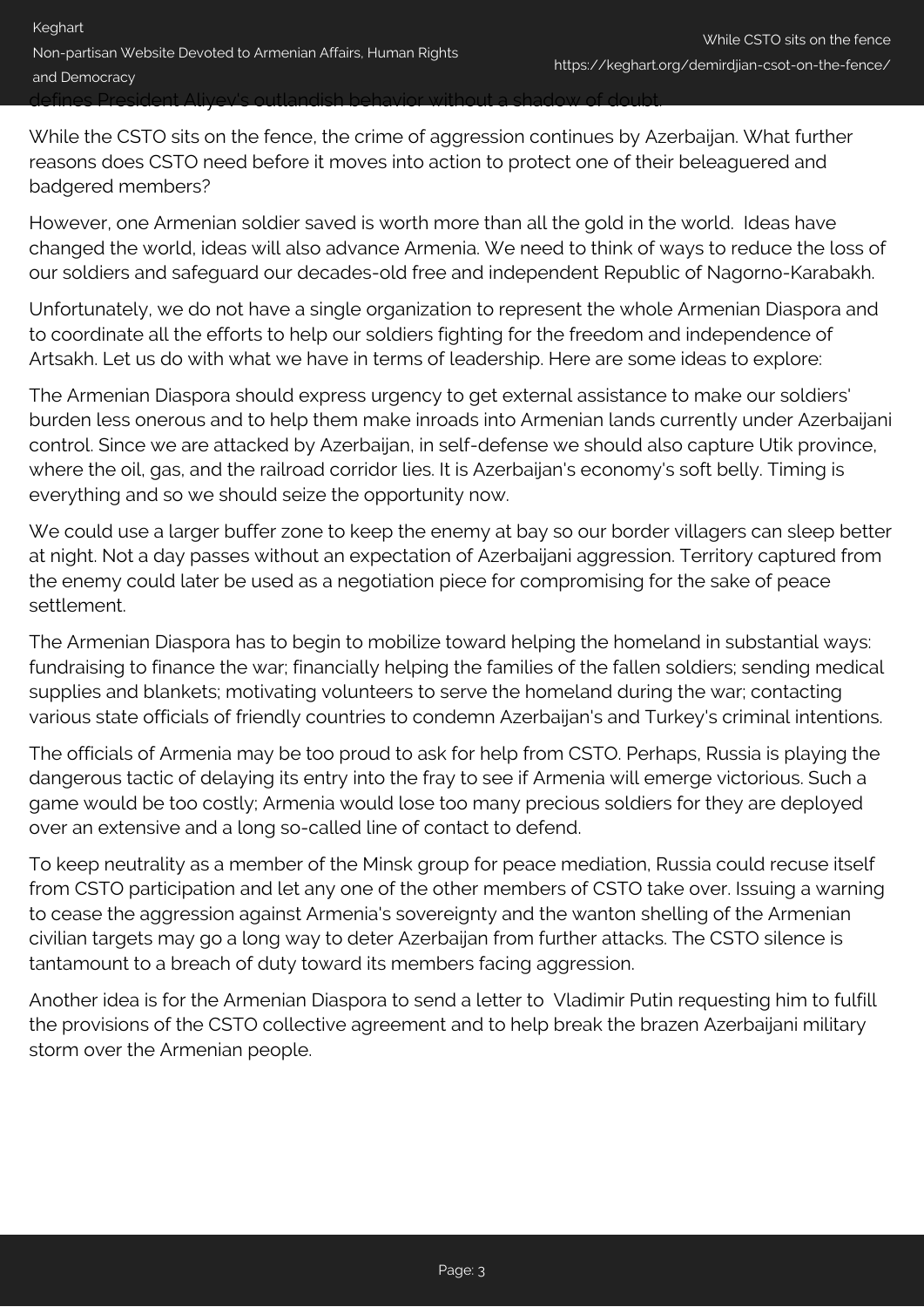defines President Aliyev's outlandish behavior without a shadow of doubt.

While the CSTO sits on the fence, the crime of aggression continues by Azerbaijan. What further reasons does CSTO need before it moves into action to protect one of their beleaguered and badgered members?

However, one Armenian soldier saved is worth more than all the gold in the world. Ideas have changed the world, ideas will also advance Armenia. We need to think of ways to reduce the loss of our soldiers and safeguard our decades-old free and independent Republic of Nagorno-Karabakh.

Unfortunately, we do not have a single organization to represent the whole Armenian Diaspora and to coordinate all the efforts to help our soldiers fighting for the freedom and independence of Artsakh. Let us do with what we have in terms of leadership. Here are some ideas to explore:

The Armenian Diaspora should express urgency to get external assistance to make our soldiers' burden less onerous and to help them make inroads into Armenian lands currently under Azerbaijani control. Since we are attacked by Azerbaijan, in self-defense we should also capture Utik province, where the oil, gas, and the railroad corridor lies. It is Azerbaijan's economy's soft belly. Timing is everything and so we should seize the opportunity now.

We could use a larger buffer zone to keep the enemy at bay so our border villagers can sleep better at night. Not a day passes without an expectation of Azerbaijani aggression. Territory captured from the enemy could later be used as a negotiation piece for compromising for the sake of peace settlement.

The Armenian Diaspora has to begin to mobilize toward helping the homeland in substantial ways: fundraising to finance the war; financially helping the families of the fallen soldiers; sending medical supplies and blankets; motivating volunteers to serve the homeland during the war; contacting various state officials of friendly countries to condemn Azerbaijan's and Turkey's criminal intentions.

The officials of Armenia may be too proud to ask for help from CSTO. Perhaps, Russia is playing the dangerous tactic of delaying its entry into the fray to see if Armenia will emerge victorious. Such a game would be too costly; Armenia would lose too many precious soldiers for they are deployed over an extensive and a long so-called line of contact to defend.

To keep neutrality as a member of the Minsk group for peace mediation, Russia could recuse itself from CSTO participation and let any one of the other members of CSTO take over. Issuing a warning to cease the aggression against Armenia's sovereignty and the wanton shelling of the Armenian civilian targets may go a long way to deter Azerbaijan from further attacks. The CSTO silence is tantamount to a breach of duty toward its members facing aggression.

Another idea is for the Armenian Diaspora to send a letter to Vladimir Putin requesting him to fulfill the provisions of the CSTO collective agreement and to help break the brazen Azerbaijani military storm over the Armenian people.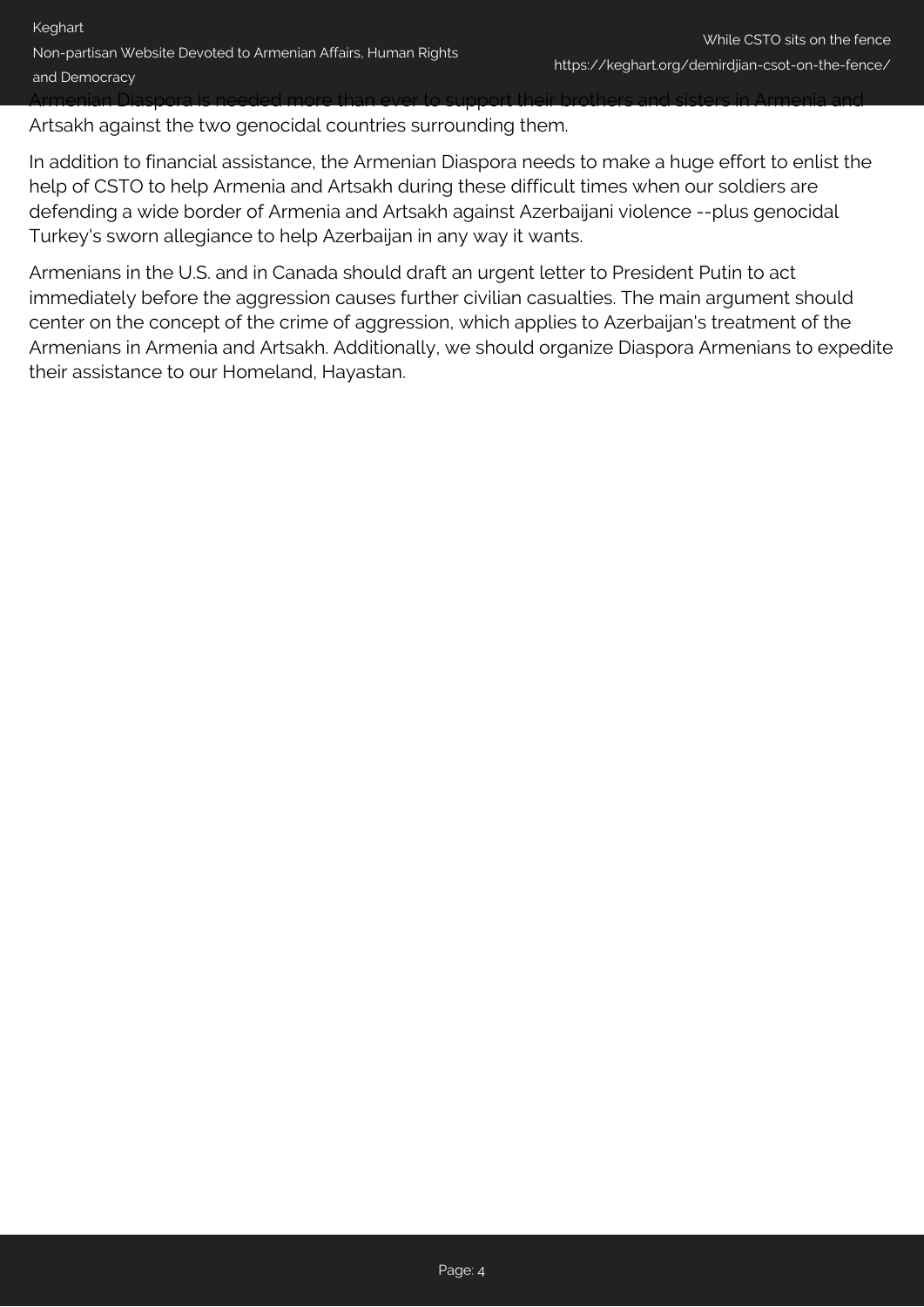Artsakh against the two genocidal countries surrounding them.

In addition to financial assistance, the Armenian Diaspora needs to make a huge effort to enlist the help of CSTO to help Armenia and Artsakh during these difficult times when our soldiers are defending a wide border of Armenia and Artsakh against Azerbaijani violence --plus genocidal Turkey's sworn allegiance to help Azerbaijan in any way it wants.

Armenians in the U.S. and in Canada should draft an urgent letter to President Putin to act immediately before the aggression causes further civilian casualties. The main argument should center on the concept of the crime of aggression, which applies to Azerbaijan's treatment of the Armenians in Armenia and Artsakh. Additionally, we should organize Diaspora Armenians to expedite their assistance to our Homeland, Hayastan.